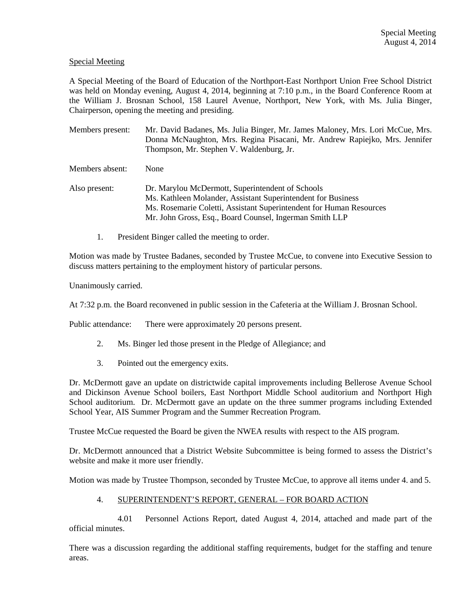# Special Meeting

A Special Meeting of the Board of Education of the Northport-East Northport Union Free School District was held on Monday evening, August 4, 2014, beginning at 7:10 p.m., in the Board Conference Room at the William J. Brosnan School, 158 Laurel Avenue, Northport, New York, with Ms. Julia Binger, Chairperson, opening the meeting and presiding.

Members present: Mr. David Badanes, Ms. Julia Binger, Mr. James Maloney, Mrs. Lori McCue, Mrs. Donna McNaughton, Mrs. Regina Pisacani, Mr. Andrew Rapiejko, Mrs. Jennifer Thompson, Mr. Stephen V. Waldenburg, Jr.

Members absent: None

- Also present: Dr. Marylou McDermott, Superintendent of Schools Ms. Kathleen Molander, Assistant Superintendent for Business Ms. Rosemarie Coletti, Assistant Superintendent for Human Resources Mr. John Gross, Esq., Board Counsel, Ingerman Smith LLP
	- 1. President Binger called the meeting to order.

Motion was made by Trustee Badanes, seconded by Trustee McCue, to convene into Executive Session to discuss matters pertaining to the employment history of particular persons.

Unanimously carried.

At 7:32 p.m. the Board reconvened in public session in the Cafeteria at the William J. Brosnan School.

Public attendance: There were approximately 20 persons present.

- 2. Ms. Binger led those present in the Pledge of Allegiance; and
- 3. Pointed out the emergency exits.

Dr. McDermott gave an update on districtwide capital improvements including Bellerose Avenue School and Dickinson Avenue School boilers, East Northport Middle School auditorium and Northport High School auditorium. Dr. McDermott gave an update on the three summer programs including Extended School Year, AIS Summer Program and the Summer Recreation Program.

Trustee McCue requested the Board be given the NWEA results with respect to the AIS program.

Dr. McDermott announced that a District Website Subcommittee is being formed to assess the District's website and make it more user friendly.

Motion was made by Trustee Thompson, seconded by Trustee McCue, to approve all items under 4. and 5.

### 4. SUPERINTENDENT'S REPORT, GENERAL – FOR BOARD ACTION

 4.01 Personnel Actions Report, dated August 4, 2014, attached and made part of the official minutes.

There was a discussion regarding the additional staffing requirements, budget for the staffing and tenure areas.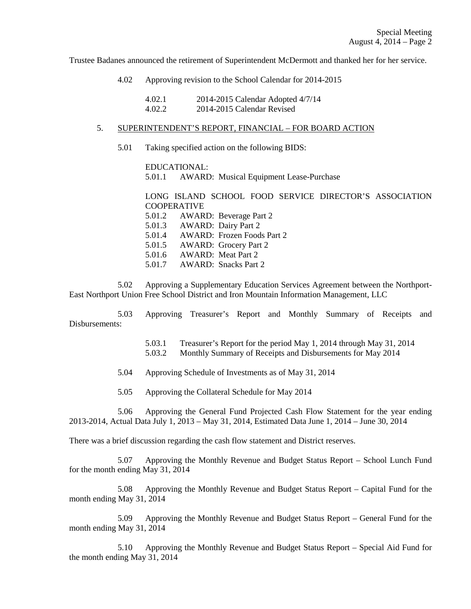Trustee Badanes announced the retirement of Superintendent McDermott and thanked her for her service.

4.02 Approving revision to the School Calendar for 2014-2015

| 4.02.1 | 2014-2015 Calendar Adopted 4/7/14 |
|--------|-----------------------------------|
| 4.02.2 | 2014-2015 Calendar Revised        |

## 5. SUPERINTENDENT'S REPORT, FINANCIAL – FOR BOARD ACTION

5.01 Taking specified action on the following BIDS:

 EDUCATIONAL: 5.01.1 AWARD: Musical Equipment Lease-Purchase

LONG ISLAND SCHOOL FOOD SERVICE DIRECTOR'S ASSOCIATION **COOPERATIVE**  5.01.2 AWARD: Beverage Part 2 5.01.3 AWARD: Dairy Part 2 5.01.4 AWARD: Frozen Foods Part 2 5.01.5 AWARD: Grocery Part 2 5.01.6 AWARD: Meat Part 2

5.01.7 AWARD: Snacks Part 2

 5.02 Approving a Supplementary Education Services Agreement between the Northport-East Northport Union Free School District and Iron Mountain Information Management, LLC

 5.03 Approving Treasurer's Report and Monthly Summary of Receipts and Disbursements:

> 5.03.1 Treasurer's Report for the period May 1, 2014 through May 31, 2014 5.03.2 Monthly Summary of Receipts and Disbursements for May 2014

- 5.04 Approving Schedule of Investments as of May 31, 2014
- 5.05 Approving the Collateral Schedule for May 2014

 5.06 Approving the General Fund Projected Cash Flow Statement for the year ending 2013-2014, Actual Data July 1, 2013 – May 31, 2014, Estimated Data June 1, 2014 – June 30, 2014

There was a brief discussion regarding the cash flow statement and District reserves.

 5.07 Approving the Monthly Revenue and Budget Status Report – School Lunch Fund for the month ending May 31, 2014

 5.08 Approving the Monthly Revenue and Budget Status Report – Capital Fund for the month ending May 31, 2014

 5.09 Approving the Monthly Revenue and Budget Status Report – General Fund for the month ending May 31, 2014

 5.10 Approving the Monthly Revenue and Budget Status Report – Special Aid Fund for the month ending May 31, 2014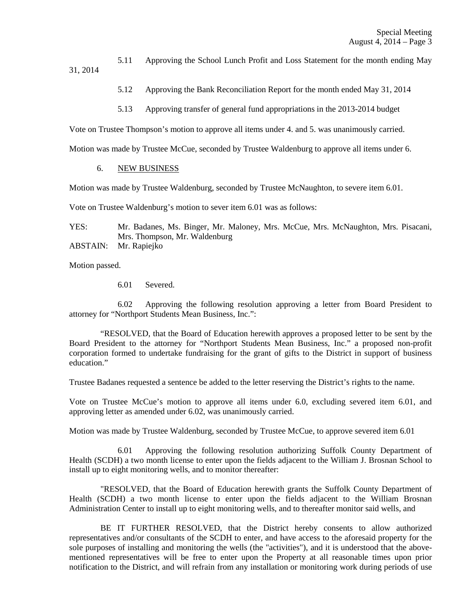5.11 Approving the School Lunch Profit and Loss Statement for the month ending May 31, 2014

- 5.12 Approving the Bank Reconciliation Report for the month ended May 31, 2014
- 5.13 Approving transfer of general fund appropriations in the 2013-2014 budget

Vote on Trustee Thompson's motion to approve all items under 4. and 5. was unanimously carried.

Motion was made by Trustee McCue, seconded by Trustee Waldenburg to approve all items under 6.

### 6. NEW BUSINESS

Motion was made by Trustee Waldenburg, seconded by Trustee McNaughton, to severe item 6.01.

Vote on Trustee Waldenburg's motion to sever item 6.01 was as follows:

YES: Mr. Badanes, Ms. Binger, Mr. Maloney, Mrs. McCue, Mrs. McNaughton, Mrs. Pisacani, Mrs. Thompson, Mr. Waldenburg

ABSTAIN: Mr. Rapiejko

Motion passed.

6.01 Severed.

 6.02 Approving the following resolution approving a letter from Board President to attorney for "Northport Students Mean Business, Inc.":

 "RESOLVED, that the Board of Education herewith approves a proposed letter to be sent by the Board President to the attorney for "Northport Students Mean Business, Inc." a proposed non-profit corporation formed to undertake fundraising for the grant of gifts to the District in support of business education."

Trustee Badanes requested a sentence be added to the letter reserving the District's rights to the name.

Vote on Trustee McCue's motion to approve all items under 6.0, excluding severed item 6.01, and approving letter as amended under 6.02, was unanimously carried.

Motion was made by Trustee Waldenburg, seconded by Trustee McCue, to approve severed item 6.01

 6.01 Approving the following resolution authorizing Suffolk County Department of Health (SCDH) a two month license to enter upon the fields adjacent to the William J. Brosnan School to install up to eight monitoring wells, and to monitor thereafter:

 "RESOLVED, that the Board of Education herewith grants the Suffolk County Department of Health (SCDH) a two month license to enter upon the fields adjacent to the William Brosnan Administration Center to install up to eight monitoring wells, and to thereafter monitor said wells, and

 BE IT FURTHER RESOLVED, that the District hereby consents to allow authorized representatives and/or consultants of the SCDH to enter, and have access to the aforesaid property for the sole purposes of installing and monitoring the wells (the "activities"), and it is understood that the abovementioned representatives will be free to enter upon the Property at all reasonable times upon prior notification to the District, and will refrain from any installation or monitoring work during periods of use